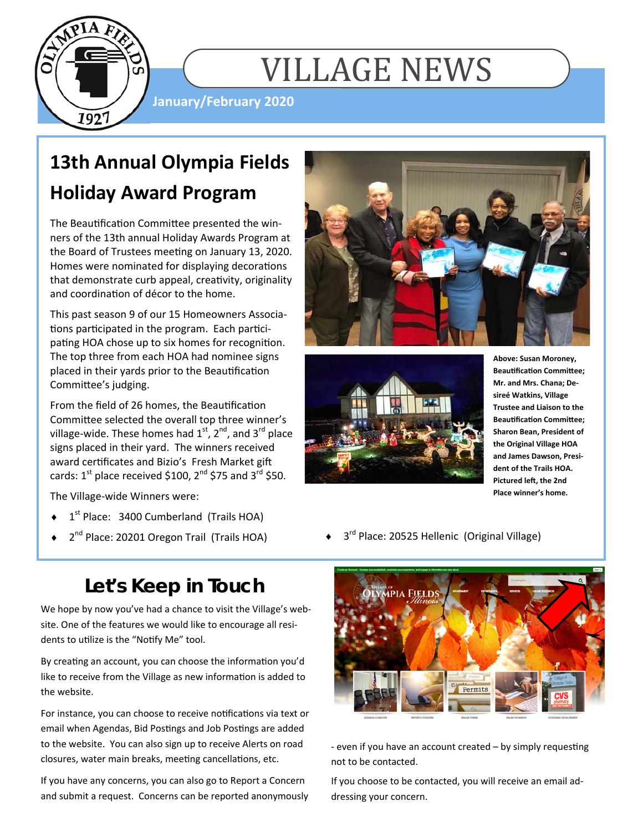

# VILLAGE NEWS

**January/February 2020** 

### **13th Annual Olympia Fields Holiday Award Program**

The Beautification Committee presented the winners of the 13th annual Holiday Awards Program at the Board of Trustees meeting on January 13, 2020. Homes were nominated for displaying decorations that demonstrate curb appeal, creativity, originality and coordination of décor to the home.

This past season 9 of our 15 Homeowners Associations participated in the program. Each participating HOA chose up to six homes for recognition. The top three from each HOA had nominee signs placed in their yards prior to the Beautification Committee's judging.

From the field of 26 homes, the Beautification Committee selected the overall top three winner's village-wide. These homes had  $1<sup>st</sup>$ ,  $2<sup>nd</sup>$ , and  $3<sup>rd</sup>$  place signs placed in their yard. The winners received award certificates and Bizio's Fresh Market gift cards:  $1^{st}$  place received \$100,  $2^{nd}$  \$75 and  $3^{rd}$  \$50.

The Village-wide Winners were:

- 1<sup>st</sup> Place: 3400 Cumberland (Trails HOA)
- 

### **Let's Keep in Touch**

We hope by now you've had a chance to visit the Village's website. One of the features we would like to encourage all residents to utilize is the "Notify Me" tool.

By creating an account, you can choose the information you'd like to receive from the Village as new information is added to the website.

For instance, you can choose to receive notifications via text or email when Agendas, Bid Postings and Job Postings are added to the website. You can also sign up to receive Alerts on road closures, water main breaks, meeting cancellations, etc.

If you have any concerns, you can also go to Report a Concern and submit a request. Concerns can be reported anonymously





**Above: Susan Moroney, Beautification Committee: Mr. and Mrs. Chana; Desireé Watkins, Village Trustee and Liaison to the Beautification Committee: Sharon Bean, President of the Original Village HOA and James Dawson, President of the Trails HOA. Pictured left, the 2nd Place winner's home.** 

 $2^{nd}$  Place: 20201 Oregon Trail (Trails HOA)  $\longrightarrow$   $3^{rd}$  Place: 20525 Hellenic (Original Village)



- even if you have an account created – by simply requesting not to be contacted.

If you choose to be contacted, you will receive an email addressing your concern.